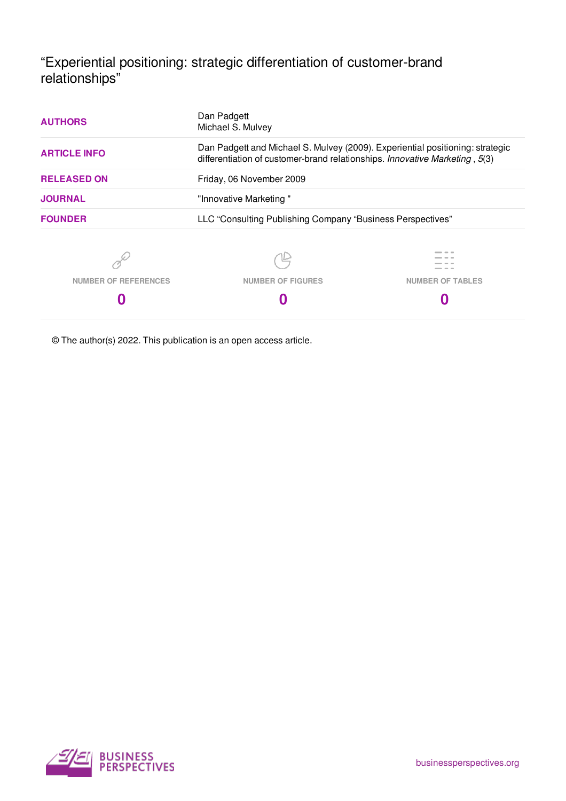"Experiential positioning: strategic differentiation of customer-brand relationships"

| <b>AUTHORS</b>                                                                                                                                                                      | Dan Padgett<br>Michael S. Mulvey                           |                         |  |
|-------------------------------------------------------------------------------------------------------------------------------------------------------------------------------------|------------------------------------------------------------|-------------------------|--|
| Dan Padgett and Michael S. Mulvey (2009). Experiential positioning: strategic<br><b>ARTICLE INFO</b><br>differentiation of customer-brand relationships. Innovative Marketing, 5(3) |                                                            |                         |  |
| <b>RELEASED ON</b>                                                                                                                                                                  | Friday, 06 November 2009<br>"Innovative Marketing"         |                         |  |
| <b>JOURNAL</b>                                                                                                                                                                      |                                                            |                         |  |
| <b>FOUNDER</b>                                                                                                                                                                      | LLC "Consulting Publishing Company "Business Perspectives" |                         |  |
|                                                                                                                                                                                     |                                                            |                         |  |
| <b>NUMBER OF REFERENCES</b>                                                                                                                                                         | <b>NUMBER OF FIGURES</b>                                   | <b>NUMBER OF TABLES</b> |  |
|                                                                                                                                                                                     |                                                            |                         |  |
|                                                                                                                                                                                     |                                                            |                         |  |

© The author(s) 2022. This publication is an open access article.

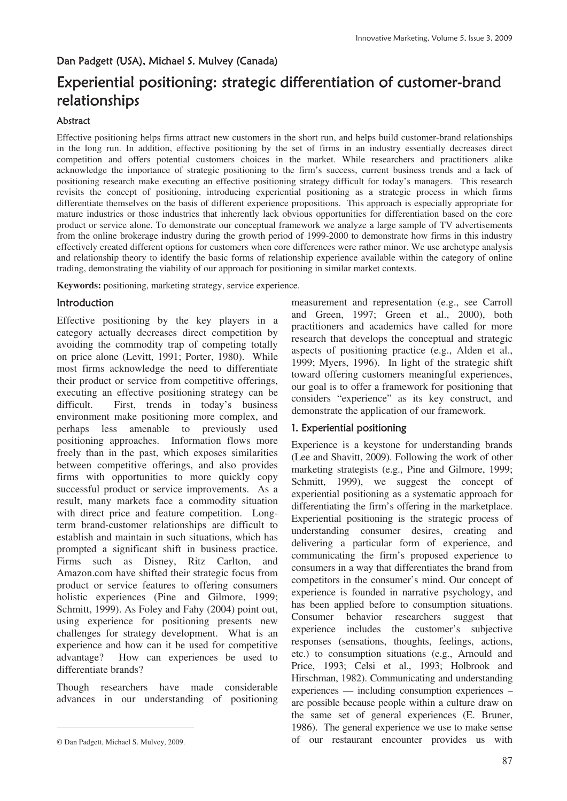# Dan Padgett (USA), Michael S. Mulvey (Canada)

# Experiential positioning: strategic differentiation of customer-brand relationships

### Abstract

Effective positioning helps firms attract new customers in the short run, and helps build customer-brand relationships in the long run. In addition, effective positioning by the set of firms in an industry essentially decreases direct competition and offers potential customers choices in the market. While researchers and practitioners alike acknowledge the importance of strategic positioning to the firm's success, current business trends and a lack of positioning research make executing an effective positioning strategy difficult for today's managers. This research revisits the concept of positioning, introducing experiential positioning as a strategic process in which firms differentiate themselves on the basis of different experience propositions. This approach is especially appropriate for mature industries or those industries that inherently lack obvious opportunities for differentiation based on the core product or service alone. To demonstrate our conceptual framework we analyze a large sample of TV advertisements from the online brokerage industry during the growth period of 1999-2000 to demonstrate how firms in this industry effectively created different options for customers when core differences were rather minor. We use archetype analysis and relationship theory to identify the basic forms of relationship experience available within the category of online trading, demonstrating the viability of our approach for positioning in similar market contexts.

**Keywords:** positioning, marketing strategy, service experience.

### **Introduction**

Effective positioning by the key players in a category actually decreases direct competition by avoiding the commodity trap of competing totally on price alone (Levitt, 1991; Porter, 1980). While most firms acknowledge the need to differentiate their product or service from competitive offerings, executing an effective positioning strategy can be difficult. First, trends in today's business environment make positioning more complex, and perhaps less amenable to previously used positioning approaches. Information flows more freely than in the past, which exposes similarities between competitive offerings, and also provides firms with opportunities to more quickly copy successful product or service improvements. As a result, many markets face a commodity situation with direct price and feature competition. Longterm brand-customer relationships are difficult to establish and maintain in such situations, which has prompted a significant shift in business practice. Firms such as Disney, Ritz Carlton, and Amazon.com have shifted their strategic focus from product or service features to offering consumers holistic experiences (Pine and Gilmore, 1999; Schmitt, 1999). As Foley and Fahy (2004) point out, using experience for positioning presents new challenges for strategy development. What is an experience and how can it be used for competitive advantage? How can experiences be used to differentiate brands?

Though researchers have made considerable advances in our understanding of positioning

 $\overline{a}$ 

measurement and representation (e.g., see Carroll and Green, 1997; Green et al., 2000), both practitioners and academics have called for more research that develops the conceptual and strategic aspects of positioning practice (e.g., Alden et al., 1999; Myers, 1996). In light of the strategic shift toward offering customers meaningful experiences, our goal is to offer a framework for positioning that considers "experience" as its key construct, and demonstrate the application of our framework.

### 1. Experiential positioning

Experience is a keystone for understanding brands (Lee and Shavitt, 2009). Following the work of other marketing strategists (e.g., Pine and Gilmore, 1999; Schmitt, 1999), we suggest the concept of experiential positioning as a systematic approach for differentiating the firm's offering in the marketplace. Experiential positioning is the strategic process of understanding consumer desires, creating and delivering a particular form of experience, and communicating the firm's proposed experience to consumers in a way that differentiates the brand from competitors in the consumer's mind. Our concept of experience is founded in narrative psychology, and has been applied before to consumption situations. Consumer behavior researchers suggest that experience includes the customer's subjective responses (sensations, thoughts, feelings, actions, etc.) to consumption situations (e.g., Arnould and Price, 1993; Celsi et al., 1993; Holbrook and Hirschman, 1982). Communicating and understanding experiences — including consumption experiences – are possible because people within a culture draw on the same set of general experiences (E. Bruner, 1986). The general experience we use to make sense of our restaurant encounter provides us with

<sup>©</sup> Dan Padgett, Michael S. Mulvey, 2009.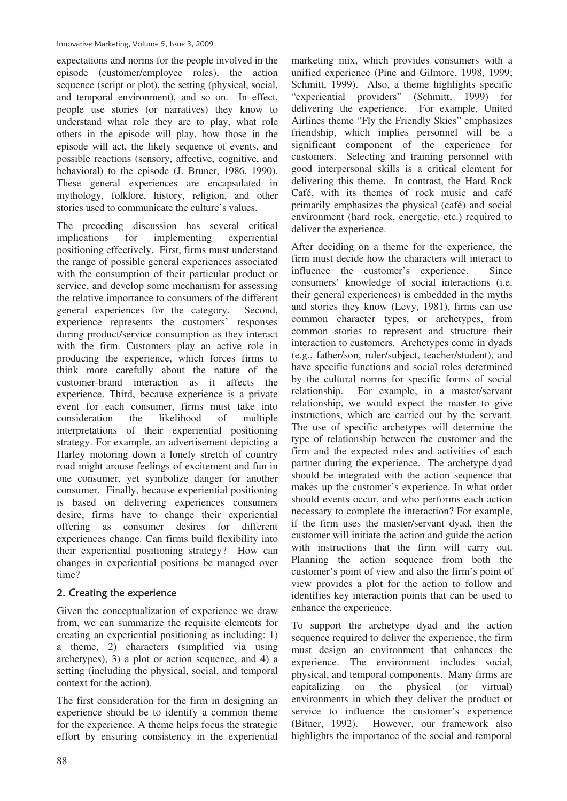expectations and norms for the people involved in the episode (customer/employee roles), the action sequence (script or plot), the setting (physical, social, and temporal environment), and so on. In effect, people use stories (or narratives) they know to understand what role they are to play, what role others in the episode will play, how those in the episode will act, the likely sequence of events, and possible reactions (sensory, affective, cognitive, and behavioral) to the episode (J. Bruner, 1986, 1990). These general experiences are encapsulated in mythology, folklore, history, religion, and other stories used to communicate the culture's values.

The preceding discussion has several critical implications for implementing experiential positioning effectively. First, firms must understand the range of possible general experiences associated with the consumption of their particular product or service, and develop some mechanism for assessing the relative importance to consumers of the different general experiences for the category. Second, experience represents the customers' responses during product/service consumption as they interact with the firm. Customers play an active role in producing the experience, which forces firms to think more carefully about the nature of the customer-brand interaction as it affects the experience. Third, because experience is a private event for each consumer, firms must take into consideration the likelihood of multiple interpretations of their experiential positioning strategy. For example, an advertisement depicting a Harley motoring down a lonely stretch of country road might arouse feelings of excitement and fun in one consumer, yet symbolize danger for another consumer. Finally, because experiential positioning is based on delivering experiences consumers desire, firms have to change their experiential offering as consumer desires for different experiences change. Can firms build flexibility into their experiential positioning strategy? How can changes in experiential positions be managed over time?

# 2. Creating the experience

Given the conceptualization of experience we draw from, we can summarize the requisite elements for creating an experiential positioning as including: 1) a theme, 2) characters (simplified via using archetypes), 3) a plot or action sequence, and 4) a setting (including the physical, social, and temporal context for the action).

The first consideration for the firm in designing an experience should be to identify a common theme for the experience. A theme helps focus the strategic effort by ensuring consistency in the experiential marketing mix, which provides consumers with a unified experience (Pine and Gilmore, 1998, 1999; Schmitt, 1999). Also, a theme highlights specific "experiential providers" (Schmitt, 1999) for delivering the experience. For example, United Airlines theme "Fly the Friendly Skies" emphasizes friendship, which implies personnel will be a significant component of the experience for customers. Selecting and training personnel with good interpersonal skills is a critical element for delivering this theme. In contrast, the Hard Rock Café, with its themes of rock music and café primarily emphasizes the physical (café) and social environment (hard rock, energetic, etc.) required to deliver the experience.

After deciding on a theme for the experience, the firm must decide how the characters will interact to influence the customer's experience. Since consumers' knowledge of social interactions (i.e. their general experiences) is embedded in the myths and stories they know (Levy, 1981), firms can use common character types, or archetypes, from common stories to represent and structure their interaction to customers. Archetypes come in dyads (e.g., father/son, ruler/subject, teacher/student), and have specific functions and social roles determined by the cultural norms for specific forms of social relationship. For example, in a master/servant relationship, we would expect the master to give instructions, which are carried out by the servant. The use of specific archetypes will determine the type of relationship between the customer and the firm and the expected roles and activities of each partner during the experience. The archetype dyad should be integrated with the action sequence that makes up the customer's experience. In what order should events occur, and who performs each action necessary to complete the interaction? For example, if the firm uses the master/servant dyad, then the customer will initiate the action and guide the action with instructions that the firm will carry out. Planning the action sequence from both the customer's point of view and also the firm's point of view provides a plot for the action to follow and identifies key interaction points that can be used to enhance the experience.

To support the archetype dyad and the action sequence required to deliver the experience, the firm must design an environment that enhances the experience. The environment includes social, physical, and temporal components. Many firms are capitalizing on the physical (or virtual) environments in which they deliver the product or service to influence the customer's experience (Bitner, 1992). However, our framework also highlights the importance of the social and temporal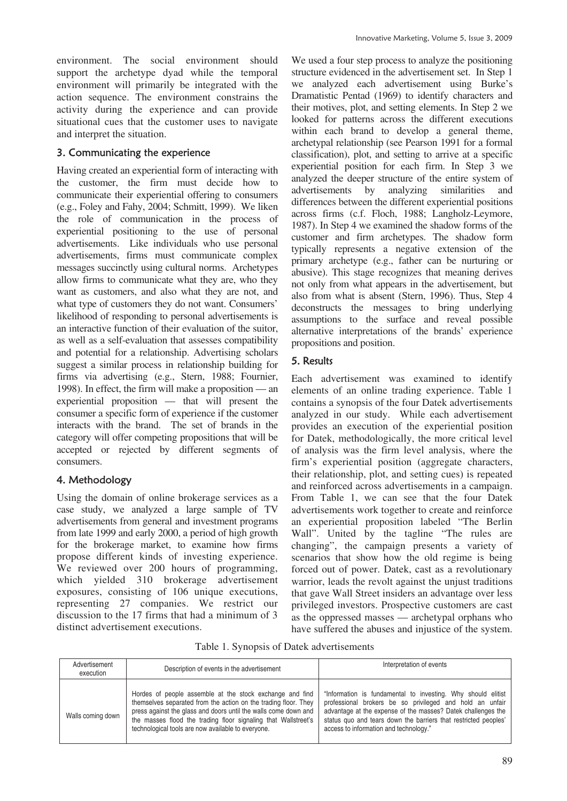environment. The social environment should support the archetype dyad while the temporal environment will primarily be integrated with the action sequence. The environment constrains the activity during the experience and can provide situational cues that the customer uses to navigate and interpret the situation.

# 3. Communicating the experience

Having created an experiential form of interacting with the customer, the firm must decide how to communicate their experiential offering to consumers (e.g., Foley and Fahy, 2004; Schmitt, 1999). We liken the role of communication in the process of experiential positioning to the use of personal advertisements. Like individuals who use personal advertisements, firms must communicate complex messages succinctly using cultural norms. Archetypes allow firms to communicate what they are, who they want as customers, and also what they are not, and what type of customers they do not want. Consumers' likelihood of responding to personal advertisements is an interactive function of their evaluation of the suitor, as well as a self-evaluation that assesses compatibility and potential for a relationship. Advertising scholars suggest a similar process in relationship building for firms via advertising (e.g., Stern, 1988; Fournier, 1998). In effect, the firm will make a proposition — an experiential proposition — that will present the consumer a specific form of experience if the customer interacts with the brand. The set of brands in the category will offer competing propositions that will be accepted or rejected by different segments of consumers.

# 4. Methodology

Using the domain of online brokerage services as a case study, we analyzed a large sample of TV advertisements from general and investment programs from late 1999 and early 2000, a period of high growth for the brokerage market, to examine how firms propose different kinds of investing experience. We reviewed over 200 hours of programming. which yielded 310 brokerage advertisement exposures, consisting of 106 unique executions, representing 27 companies. We restrict our discussion to the 17 firms that had a minimum of 3 distinct advertisement executions.

We used a four step process to analyze the positioning structure evidenced in the advertisement set. In Step 1 we analyzed each advertisement using Burke's Dramatistic Pentad (1969) to identify characters and their motives, plot, and setting elements. In Step 2 we looked for patterns across the different executions within each brand to develop a general theme, archetypal relationship (see Pearson 1991 for a formal classification), plot, and setting to arrive at a specific experiential position for each firm. In Step 3 we analyzed the deeper structure of the entire system of advertisements by analyzing similarities and differences between the different experiential positions across firms (c.f. Floch, 1988; Langholz-Leymore, 1987). In Step 4 we examined the shadow forms of the customer and firm archetypes. The shadow form typically represents a negative extension of the primary archetype (e.g., father can be nurturing or abusive). This stage recognizes that meaning derives not only from what appears in the advertisement, but also from what is absent (Stern, 1996). Thus, Step 4 deconstructs the messages to bring underlying assumptions to the surface and reveal possible alternative interpretations of the brands' experience propositions and position.

# 5. Results

Each advertisement was examined to identify elements of an online trading experience. Table 1 contains a synopsis of the four Datek advertisements analyzed in our study. While each advertisement provides an execution of the experiential position for Datek, methodologically, the more critical level of analysis was the firm level analysis, where the firm's experiential position (aggregate characters, their relationship, plot, and setting cues) is repeated and reinforced across advertisements in a campaign. From Table 1, we can see that the four Datek advertisements work together to create and reinforce an experiential proposition labeled "The Berlin Wall". United by the tagline "The rules are changing", the campaign presents a variety of scenarios that show how the old regime is being forced out of power. Datek, cast as a revolutionary warrior, leads the revolt against the unjust traditions that gave Wall Street insiders an advantage over less privileged investors. Prospective customers are cast as the oppressed masses — archetypal orphans who have suffered the abuses and injustice of the system.

Table 1. Synopsis of Datek advertisements

| Advertisement<br>execution | Description of events in the advertisement                                                                                                                                                                                                                                                                             | Interpretation of events                                                                                                                                                                                                                                                                              |  |
|----------------------------|------------------------------------------------------------------------------------------------------------------------------------------------------------------------------------------------------------------------------------------------------------------------------------------------------------------------|-------------------------------------------------------------------------------------------------------------------------------------------------------------------------------------------------------------------------------------------------------------------------------------------------------|--|
| Walls coming down          | Hordes of people assemble at the stock exchange and find<br>themselves separated from the action on the trading floor. They<br>press against the glass and doors until the walls come down and<br>the masses flood the trading floor signaling that Wallstreet's<br>technological tools are now available to everyone. | "Information is fundamental to investing. Why should elitist<br>professional brokers be so privileged and hold an unfair<br>advantage at the expense of the masses? Datek challenges the<br>status quo and tears down the barriers that restricted peoples'<br>access to information and technology." |  |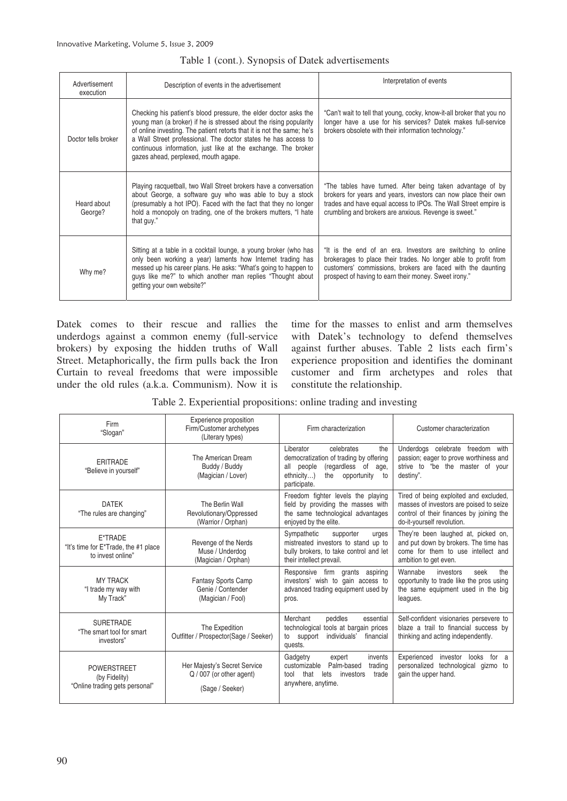| Advertisement<br>execution | Description of events in the advertisement                                                                                                                                                                                                                                                                                                                                                  | Interpretation of events                                                                                                                                                                                                                                 |  |
|----------------------------|---------------------------------------------------------------------------------------------------------------------------------------------------------------------------------------------------------------------------------------------------------------------------------------------------------------------------------------------------------------------------------------------|----------------------------------------------------------------------------------------------------------------------------------------------------------------------------------------------------------------------------------------------------------|--|
| Doctor tells broker        | Checking his patient's blood pressure, the elder doctor asks the<br>young man (a broker) if he is stressed about the rising popularity<br>of online investing. The patient retorts that it is not the same; he's<br>a Wall Street professional. The doctor states he has access to<br>continuous information, just like at the exchange. The broker<br>gazes ahead, perplexed, mouth agape. | "Can't wait to tell that young, cocky, know-it-all broker that you no<br>longer have a use for his services? Datek makes full-service<br>brokers obsolete with their information technology."                                                            |  |
| Heard about<br>George?     | Playing racquetball, two Wall Street brokers have a conversation<br>about George, a software guy who was able to buy a stock<br>(presumably a hot IPO). Faced with the fact that they no longer<br>hold a monopoly on trading, one of the brokers mutters, "I hate<br>that guy."                                                                                                            | "The tables have turned. After being taken advantage of by<br>brokers for years and years, investors can now place their own<br>trades and have equal access to IPOs. The Wall Street empire is<br>crumbling and brokers are anxious. Revenge is sweet." |  |
| Why me?                    | Sitting at a table in a cocktail lounge, a young broker (who has<br>only been working a year) laments how Internet trading has<br>messed up his career plans. He asks: "What's going to happen to<br>guys like me?" to which another man replies "Thought about<br>getting your own website?"                                                                                               | "It is the end of an era. Investors are switching to online<br>brokerages to place their trades. No longer able to profit from<br>customers' commissions, brokers are faced with the daunting<br>prospect of having to earn their money. Sweet irony."   |  |

#### Table 1 (cont.). Synopsis of Datek advertisements

Datek comes to their rescue and rallies the underdogs against a common enemy (full-service brokers) by exposing the hidden truths of Wall Street. Metaphorically, the firm pulls back the Iron Curtain to reveal freedoms that were impossible under the old rules (a.k.a. Communism). Now it is time for the masses to enlist and arm themselves with Datek's technology to defend themselves against further abuses. Table 2 lists each firm's experience proposition and identifies the dominant customer and firm archetypes and roles that constitute the relationship.

|  | Table 2. Experiential propositions: online trading and investing |  |  |
|--|------------------------------------------------------------------|--|--|
|  |                                                                  |  |  |

| Experience proposition<br>Firm<br>Firm/Customer archetypes<br>"Slogan"<br>(Literary types) |                                                                             | Firm characterization                                                                                                                                                       | Customer characterization                                                                                                                                   |
|--------------------------------------------------------------------------------------------|-----------------------------------------------------------------------------|-----------------------------------------------------------------------------------------------------------------------------------------------------------------------------|-------------------------------------------------------------------------------------------------------------------------------------------------------------|
| <b>FRITRADE</b><br>"Believe in yourself"                                                   | The American Dream<br>Buddy / Buddy<br>(Magician / Lover)                   | I iberator<br>celebrates<br>the<br>democratization of trading by offering<br>(regardless of<br>all people<br>age,<br>ethnicity)<br>the<br>opportunity<br>to<br>participate. | Underdogs celebrate freedom with<br>passion; eager to prove worthiness and<br>strive to "be the master of your<br>destiny".                                 |
| <b>DATEK</b><br>"The rules are changing"                                                   | The Berlin Wall<br>Revolutionary/Oppressed<br>(Warrior / Orphan)            | Freedom fighter levels the playing<br>field by providing the masses with<br>the same technological advantages<br>enjoyed by the elite.                                      | Tired of being exploited and excluded,<br>masses of investors are poised to seize<br>control of their finances by joining the<br>do-it-yourself revolution. |
| E*TRADE<br>"It's time for E*Trade, the #1 place<br>to invest online"                       | Revenge of the Nerds<br>Muse / Underdog<br>(Magician / Orphan)              | Sympathetic<br>supporter<br>urges<br>mistreated investors to stand up to<br>bully brokers, to take control and let<br>their intellect prevail.                              | They're been laughed at, picked on,<br>and put down by brokers. The time has<br>come for them to use intellect and<br>ambition to get even.                 |
| <b>MY TRACK</b><br>"I trade my way with<br>My Track"                                       | <b>Fantasy Sports Camp</b><br>Genie / Contender<br>(Magician / Fool)        | Responsive firm grants<br>aspiring<br>investors' wish to gain access to<br>advanced trading equipment used by<br>pros.                                                      | Wannabe<br>investors<br>seek<br>the<br>opportunity to trade like the pros using<br>the same equipment used in the big<br>leagues.                           |
| <b>SURETRADE</b><br>"The smart tool for smart<br>investors"                                | The Expedition<br>Outfitter / Prospector(Sage / Seeker)                     | Merchant<br>peddles<br>essential<br>technological tools at bargain prices<br>individuals'<br>financial<br>to support<br>quests.                                             | Self-confident visionaries persevere to<br>blaze a trail to financial success by<br>thinking and acting independently.                                      |
| <b>POWFRSTRFFT</b><br>(by Fidelity)<br>"Online trading gets personal"                      | Her Majesty's Secret Service<br>Q / 007 (or other agent)<br>(Sage / Seeker) | Gadgetry<br>invents<br>expert<br>Palm-based<br>customizable<br>trading<br>that<br>lets investors<br>tool<br>trade<br>anywhere, anytime.                                     | Experienced<br>investor<br>looks<br>for a<br>personalized technological gizmo to<br>gain the upper hand.                                                    |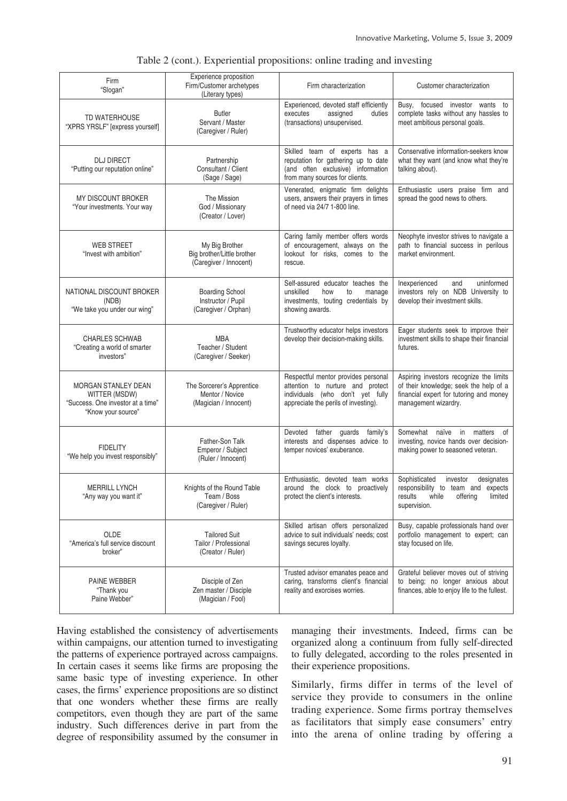| Firm<br>"Slogan"                                                                                       | Experience proposition<br>Firm/Customer archetypes<br>(Literary types) | Firm characterization                                                                                                                               | Customer characterization                                                                                                                            |
|--------------------------------------------------------------------------------------------------------|------------------------------------------------------------------------|-----------------------------------------------------------------------------------------------------------------------------------------------------|------------------------------------------------------------------------------------------------------------------------------------------------------|
| TD WATERHOUSE<br>"XPRS YRSLF" [express yourself]                                                       | <b>Butler</b><br>Servant / Master<br>(Caregiver / Ruler)               | Experienced, devoted staff efficiently<br>assigned<br>executes<br>duties<br>(transactions) unsupervised.                                            | focused investor wants to<br>Busy,<br>complete tasks without any hassles to<br>meet ambitious personal goals.                                        |
| <b>DLJ DIRECT</b><br>"Putting our reputation online"                                                   | Partnership<br>Consultant / Client<br>(Sage / Sage)                    | Skilled team of experts has a<br>reputation for gathering up to date<br>(and often exclusive) information<br>from many sources for clients.         | Conservative information-seekers know<br>what they want (and know what they're<br>talking about).                                                    |
| MY DISCOUNT BROKER<br>"Your investments. Your way                                                      | The Mission<br>God / Missionary<br>(Creator / Lover)                   | Venerated, enigmatic firm delights<br>users, answers their prayers in times<br>of need via 24/7 1-800 line.                                         | Enthusiastic users praise firm and<br>spread the good news to others.                                                                                |
| <b>WEB STREET</b><br>"Invest with ambition"                                                            | My Big Brother<br>Big brother/Little brother<br>(Caregiver / Innocent) | Caring family member offers words<br>of encouragement, always on the<br>lookout for risks, comes to the<br>rescue.                                  | Neophyte investor strives to navigate a<br>path to financial success in perilous<br>market environment.                                              |
| NATIONAL DISCOUNT BROKER<br>(NDB)<br>"We take you under our wing"                                      | <b>Boarding School</b><br>Instructor / Pupil<br>(Caregiver / Orphan)   | Self-assured educator teaches the<br>unskilled<br>how<br>to<br>manage<br>investments, touting credentials by<br>showing awards.                     | Inexperienced<br>and<br>uninformed<br>investors rely on NDB University to<br>develop their investment skills.                                        |
| <b>CHARLES SCHWAB</b><br>"Creating a world of smarter<br>investors"                                    | <b>MBA</b><br>Teacher / Student<br>(Caregiver / Seeker)                | Trustworthy educator helps investors<br>develop their decision-making skills.                                                                       | Eager students seek to improve their<br>investment skills to shape their financial<br>futures.                                                       |
| <b>MORGAN STANLEY DEAN</b><br>WITTER (MSDW)<br>"Success. One investor at a time"<br>"Know your source" | The Sorcerer's Apprentice<br>Mentor / Novice<br>(Magician / Innocent)  | Respectful mentor provides personal<br>attention to nurture and protect<br>individuals (who don't yet fully<br>appreciate the perils of investing). | Aspiring investors recognize the limits<br>of their knowledge; seek the help of a<br>financial expert for tutoring and money<br>management wizardry. |
| <b>FIDELITY</b><br>"We help you invest responsibly"                                                    | Father-Son Talk<br>Emperor / Subject<br>(Ruler / Innocent)             | father guards family's<br>Devoted<br>interests and dispenses advice to<br>temper novices' exuberance.                                               | Somewhat naïve in matters of<br>investing, novice hands over decision-<br>making power to seasoned veteran.                                          |
| <b>MERRILL LYNCH</b><br>"Any way you want it"                                                          | Knights of the Round Table<br>Team / Boss<br>(Caregiver / Ruler)       | Enthusiastic, devoted team works<br>around the clock to proactively<br>protect the client's interests.                                              | Sophisticated<br>investor<br>designates<br>responsibility to team and expects<br>while<br>offering<br>limited<br>results<br>supervision.             |
| <b>OLDE</b><br>"America's full service discount<br>broker"                                             | <b>Tailored Suit</b><br>Tailor / Professional<br>(Creator / Ruler)     | Skilled artisan offers personalized<br>advice to suit individuals' needs; cost<br>savings secures loyalty.                                          | Busy, capable professionals hand over<br>portfolio management to expert; can<br>stay focused on life.                                                |
| PAINE WEBBER<br>"Thank you<br>Paine Webber"                                                            | Disciple of Zen<br>Zen master / Disciple<br>(Magician / Fool)          | Trusted advisor emanates peace and<br>caring, transforms client's financial<br>reality and exorcises worries.                                       | Grateful believer moves out of striving<br>to being; no longer anxious about<br>finances, able to enjoy life to the fullest.                         |

#### Table 2 (cont.). Experiential propositions: online trading and investing

Having established the consistency of advertisements within campaigns, our attention turned to investigating the patterns of experience portrayed across campaigns. In certain cases it seems like firms are proposing the same basic type of investing experience. In other cases, the firms' experience propositions are so distinct that one wonders whether these firms are really competitors, even though they are part of the same industry. Such differences derive in part from the degree of responsibility assumed by the consumer in managing their investments. Indeed, firms can be organized along a continuum from fully self-directed to fully delegated, according to the roles presented in their experience propositions.

Similarly, firms differ in terms of the level of service they provide to consumers in the online trading experience. Some firms portray themselves as facilitators that simply ease consumers' entry into the arena of online trading by offering a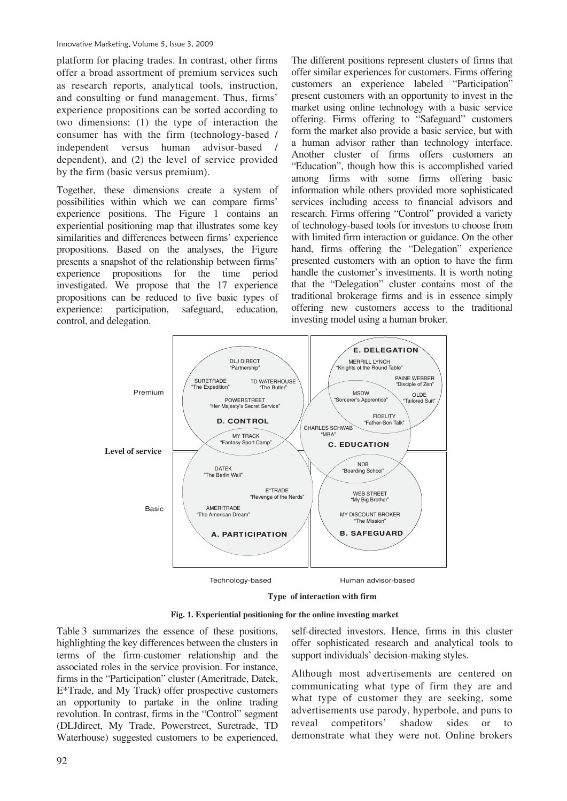platform for placing trades. In contrast, other firms offer a broad assortment of premium services such as research reports, analytical tools, instruction, and consulting or fund management. Thus, firms' experience propositions can be sorted according to two dimensions: (1) the type of interaction the consumer has with the firm (technology-based / independent versus human advisor-based / dependent), and (2) the level of service provided by the firm (basic versus premium).

Together, these dimensions create a system of possibilities within which we can compare firms' experience positions. The Figure 1 contains an experiential positioning map that illustrates some key similarities and differences between firms' experience propositions. Based on the analyses, the Figure presents a snapshot of the relationship between firms' experience propositions for the time period investigated. We propose that the 17 experience propositions can be reduced to five basic types of experience: participation, safeguard, education, control, and delegation.

The different positions represent clusters of firms that offer similar experiences for customers. Firms offering customers an experience labeled "Participation" present customers with an opportunity to invest in the market using online technology with a basic service offering. Firms offering to "Safeguard" customers form the market also provide a basic service, but with a human advisor rather than technology interface. Another cluster of firms offers customers an "Education", though how this is accomplished varied among firms with some firms offering basic information while others provided more sophisticated services including access to financial advisors and research. Firms offering "Control" provided a variety of technology-based tools for investors to choose from with limited firm interaction or guidance. On the other hand, firms offering the "Delegation" experience presented customers with an option to have the firm handle the customer's investments. It is worth noting that the "Delegation" cluster contains most of the traditional brokerage firms and is in essence simply offering new customers access to the traditional investing model using a human broker.



**Type of Interaction with Firm Type of interaction with firm** 

**Fig. 1. Experiential positioning for the online investing market**

Table 3 summarizes the essence of these positions, highlighting the key differences between the clusters in terms of the firm-customer relationship and the associated roles in the service provision. For instance, firms in the "Participation" cluster (Ameritrade, Datek, E\*Trade, and My Track) offer prospective customers an opportunity to partake in the online trading revolution. In contrast, firms in the "Control" segment (DLJdirect, My Trade, Powerstreet, Suretrade, TD Waterhouse) suggested customers to be experienced,

self-directed investors. Hence, firms in this cluster offer sophisticated research and analytical tools to support individuals' decision-making styles.

Although most advertisements are centered on communicating what type of firm they are and what type of customer they are seeking, some advertisements use parody, hyperbole, and puns to reveal competitors' shadow sides or to demonstrate what they were not. Online brokers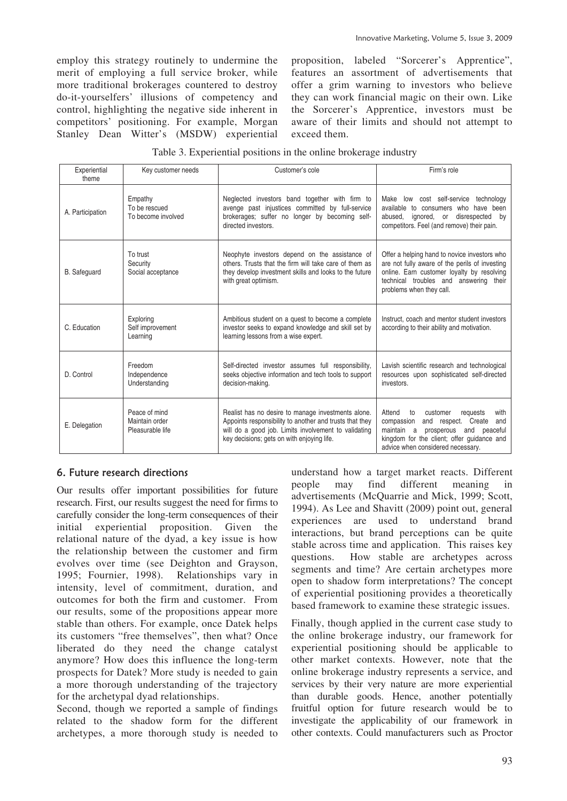employ this strategy routinely to undermine the merit of employing a full service broker, while more traditional brokerages countered to destroy do-it-yourselfers' illusions of competency and control, highlighting the negative side inherent in competitors' positioning. For example, Morgan Stanley Dean Witter's (MSDW) experiential proposition, labeled "Sorcerer's Apprentice", features an assortment of advertisements that offer a grim warning to investors who believe they can work financial magic on their own. Like the Sorcerer's Apprentice, investors must be aware of their limits and should not attempt to exceed them.

| Experiential<br>theme | Key customer needs                                  | Customer's cole                                                                                                                                                                                                     | Firm's role                                                                                                                                                                                                                |
|-----------------------|-----------------------------------------------------|---------------------------------------------------------------------------------------------------------------------------------------------------------------------------------------------------------------------|----------------------------------------------------------------------------------------------------------------------------------------------------------------------------------------------------------------------------|
| A. Participation      | Empathy<br>To be rescued<br>To become involved      | Neglected investors band together with firm to<br>avenge past injustices committed by full-service<br>brokerages; suffer no longer by becoming self-<br>directed investors.                                         | Make low cost self-service technology<br>available to consumers who have been<br>ignored, or disrespected<br>abused,<br>by<br>competitors. Feel (and remove) their pain.                                                   |
| <b>B.</b> Safeguard   | To trust<br>Security<br>Social acceptance           | Neophyte investors depend on the assistance of<br>others. Trusts that the firm will take care of them as<br>they develop investment skills and looks to the future<br>with great optimism.                          | Offer a helping hand to novice investors who<br>are not fully aware of the perils of investing<br>online. Earn customer loyalty by resolving<br>technical troubles and answering their<br>problems when they call.         |
| C. Education          | Exploring<br>Self improvement<br>Learning           | Ambitious student on a quest to become a complete<br>investor seeks to expand knowledge and skill set by<br>learning lessons from a wise expert.                                                                    | Instruct, coach and mentor student investors<br>according to their ability and motivation.                                                                                                                                 |
| D. Control            | Freedom<br>Independence<br>Understanding            | Self-directed investor assumes full responsibility,<br>seeks objective information and tech tools to support<br>decision-making.                                                                                    | Lavish scientific research and technological<br>resources upon sophisticated self-directed<br>investors.                                                                                                                   |
| E. Delegation         | Peace of mind<br>Maintain order<br>Pleasurable life | Realist has no desire to manage investments alone.<br>Appoints responsibility to another and trusts that they<br>will do a good job. Limits involvement to validating<br>key decisions; gets on with enjoying life. | Attend<br>customer<br>with<br>to<br>requests<br>compassion<br>and respect. Create<br>and<br>maintain a<br>prosperous<br>and<br>peaceful<br>kingdom for the client; offer guidance and<br>advice when considered necessary. |

### Table 3. Experiential positions in the online brokerage industry

# 6. Future research directions

Our results offer important possibilities for future research. First, our results suggest the need for firms to carefully consider the long-term consequences of their initial experiential proposition. Given the relational nature of the dyad, a key issue is how the relationship between the customer and firm evolves over time (see Deighton and Grayson, 1995; Fournier, 1998). Relationships vary in intensity, level of commitment, duration, and outcomes for both the firm and customer. From our results, some of the propositions appear more stable than others. For example, once Datek helps its customers "free themselves", then what? Once liberated do they need the change catalyst anymore? How does this influence the long-term prospects for Datek? More study is needed to gain a more thorough understanding of the trajectory for the archetypal dyad relationships.

Second, though we reported a sample of findings related to the shadow form for the different archetypes, a more thorough study is needed to understand how a target market reacts. Different people may find different meaning in advertisements (McQuarrie and Mick, 1999; Scott, 1994). As Lee and Shavitt (2009) point out, general experiences are used to understand brand interactions, but brand perceptions can be quite stable across time and application. This raises key questions. How stable are archetypes across segments and time? Are certain archetypes more open to shadow form interpretations? The concept of experiential positioning provides a theoretically based framework to examine these strategic issues.

Finally, though applied in the current case study to the online brokerage industry, our framework for experiential positioning should be applicable to other market contexts. However, note that the online brokerage industry represents a service, and services by their very nature are more experiential than durable goods. Hence, another potentially fruitful option for future research would be to investigate the applicability of our framework in other contexts. Could manufacturers such as Proctor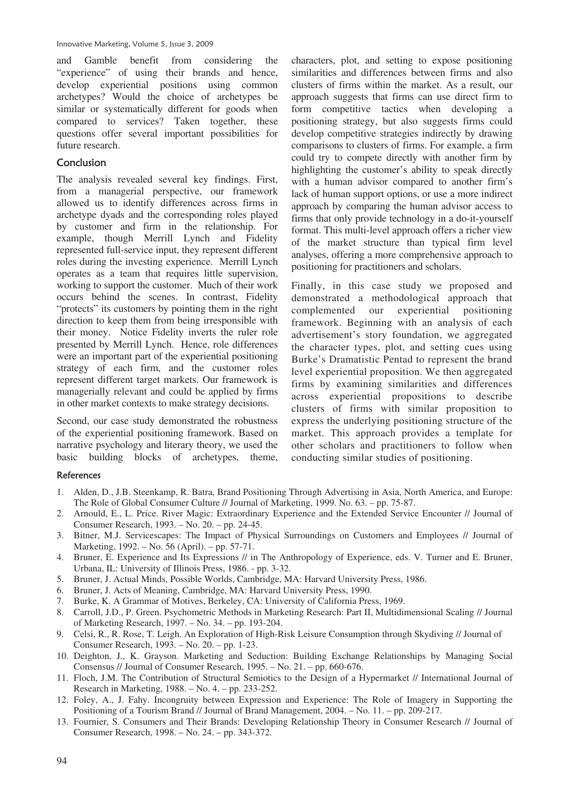and Gamble benefit from considering the "experience" of using their brands and hence, develop experiential positions using common archetypes? Would the choice of archetypes be similar or systematically different for goods when compared to services? Taken together, these questions offer several important possibilities for future research.

#### Conclusion

The analysis revealed several key findings. First, from a managerial perspective, our framework allowed us to identify differences across firms in archetype dyads and the corresponding roles played by customer and firm in the relationship. For example, though Merrill Lynch and Fidelity represented full-service input, they represent different roles during the investing experience. Merrill Lynch operates as a team that requires little supervision, working to support the customer. Much of their work occurs behind the scenes. In contrast, Fidelity "protects" its customers by pointing them in the right direction to keep them from being irresponsible with their money. Notice Fidelity inverts the ruler role presented by Merrill Lynch. Hence, role differences were an important part of the experiential positioning strategy of each firm, and the customer roles represent different target markets. Our framework is managerially relevant and could be applied by firms in other market contexts to make strategy decisions.

Second, our case study demonstrated the robustness of the experiential positioning framework. Based on narrative psychology and literary theory, we used the basic building blocks of archetypes, theme, characters, plot, and setting to expose positioning similarities and differences between firms and also clusters of firms within the market. As a result, our approach suggests that firms can use direct firm to form competitive tactics when developing a positioning strategy, but also suggests firms could develop competitive strategies indirectly by drawing comparisons to clusters of firms. For example, a firm could try to compete directly with another firm by highlighting the customer's ability to speak directly with a human advisor compared to another firm's lack of human support options, or use a more indirect approach by comparing the human advisor access to firms that only provide technology in a do-it-yourself format. This multi-level approach offers a richer view of the market structure than typical firm level analyses, offering a more comprehensive approach to positioning for practitioners and scholars.

Finally, in this case study we proposed and demonstrated a methodological approach that complemented our experiential positioning framework. Beginning with an analysis of each advertisement's story foundation, we aggregated the character types, plot, and setting cues using Burke's Dramatistic Pentad to represent the brand level experiential proposition. We then aggregated firms by examining similarities and differences across experiential propositions to describe clusters of firms with similar proposition to express the underlying positioning structure of the market. This approach provides a template for other scholars and practitioners to follow when conducting similar studies of positioning.

#### References

- 1. Alden, D., J.B. Steenkamp, R. Batra, Brand Positioning Through Advertising in Asia, North America, and Europe: The Role of Global Consumer Culture // Journal of Marketing, 1999. No. 63. – pp. 75-87.
- 2. Arnould, E., L. Price. River Magic: Extraordinary Experience and the Extended Service Encounter // Journal of Consumer Research, 1993. – No. 20. – pp. 24-45.
- 3. Bitner, M.J. Servicescapes: The Impact of Physical Surroundings on Customers and Employees // Journal of Marketing, 1992. – No. 56 (April). – pp. 57-71.
- 4. Bruner, E. Experience and Its Expressions // in The Anthropology of Experience, eds. V. Turner and E. Bruner, Urbana, IL: University of Illinois Press, 1986. - pp. 3-32.
- 5. Bruner, J. Actual Minds, Possible Worlds, Cambridge, MA: Harvard University Press, 1986.
- 6. Bruner, J. Acts of Meaning, Cambridge, MA: Harvard University Press, 1990.
- 7. Burke, K. A Grammar of Motives, Berkeley, CA: University of California Press, 1969.
- 8. Carroll, J.D., P. Green. Psychometric Methods in Marketing Research: Part II, Multidimensional Scaling // Journal of Marketing Research, 1997. – No. 34. – pp. 193-204.
- 9. Celsi, R., R. Rose, T. Leigh. An Exploration of High-Risk Leisure Consumption through Skydiving // Journal of Consumer Research, 1993. – No. 20. – pp. 1-23.
- 10. Deighton, J., K. Grayson. Marketing and Seduction: Building Exchange Relationships by Managing Social Consensus // Journal of Consumer Research, 1995. – No. 21. – pp. 660-676.
- 11. Floch, J.M. The Contribution of Structural Semiotics to the Design of a Hypermarket // International Journal of Research in Marketing, 1988. – No. 4. – pp. 233-252.
- 12. Foley, A., J. Fahy. Incongruity between Expression and Experience: The Role of Imagery in Supporting the Positioning of a Tourism Brand // Journal of Brand Management, 2004. – No. 11. – pp. 209-217.
- 13. Fournier, S. Consumers and Their Brands: Developing Relationship Theory in Consumer Research // Journal of Consumer Research, 1998. – No. 24. – pp. 343-372.